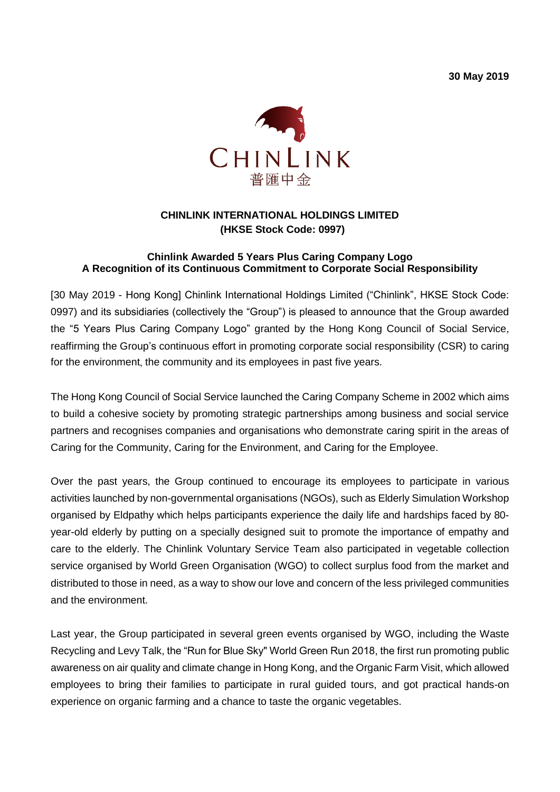**30 May 2019**



## **CHINLINK INTERNATIONAL HOLDINGS LIMITED (HKSE Stock Code: 0997)**

## **Chinlink Awarded 5 Years Plus Caring Company Logo A Recognition of its Continuous Commitment to Corporate Social Responsibility**

[30 May 2019 - Hong Kong] Chinlink International Holdings Limited ("Chinlink", HKSE Stock Code: 0997) and its subsidiaries (collectively the "Group") is pleased to announce that the Group awarded the "5 Years Plus Caring Company Logo" granted by the Hong Kong Council of Social Service, reaffirming the Group's continuous effort in promoting corporate social responsibility (CSR) to caring for the environment, the community and its employees in past five years.

The Hong Kong Council of Social Service launched the Caring Company Scheme in 2002 which aims to build a cohesive society by promoting strategic partnerships among business and social service partners and recognises companies and organisations who demonstrate caring spirit in the areas of Caring for the Community, Caring for the Environment, and Caring for the Employee.

Over the past years, the Group continued to encourage its employees to participate in various activities launched by non-governmental organisations (NGOs), such as Elderly Simulation Workshop organised by Eldpathy which helps participants experience the daily life and hardships faced by 80 year-old elderly by putting on a specially designed suit to promote the importance of empathy and care to the elderly. The Chinlink Voluntary Service Team also participated in vegetable collection service organised by World Green Organisation (WGO) to collect surplus food from the market and distributed to those in need, as a way to show our love and concern of the less privileged communities and the environment.

Last year, the Group participated in several green events organised by WGO, including the Waste Recycling and Levy Talk, the "Run for Blue Sky" World Green Run 2018, the first run promoting public awareness on air quality and climate change in Hong Kong, and the Organic Farm Visit, which allowed employees to bring their families to participate in rural guided tours, and got practical hands-on experience on organic farming and a chance to taste the organic vegetables.